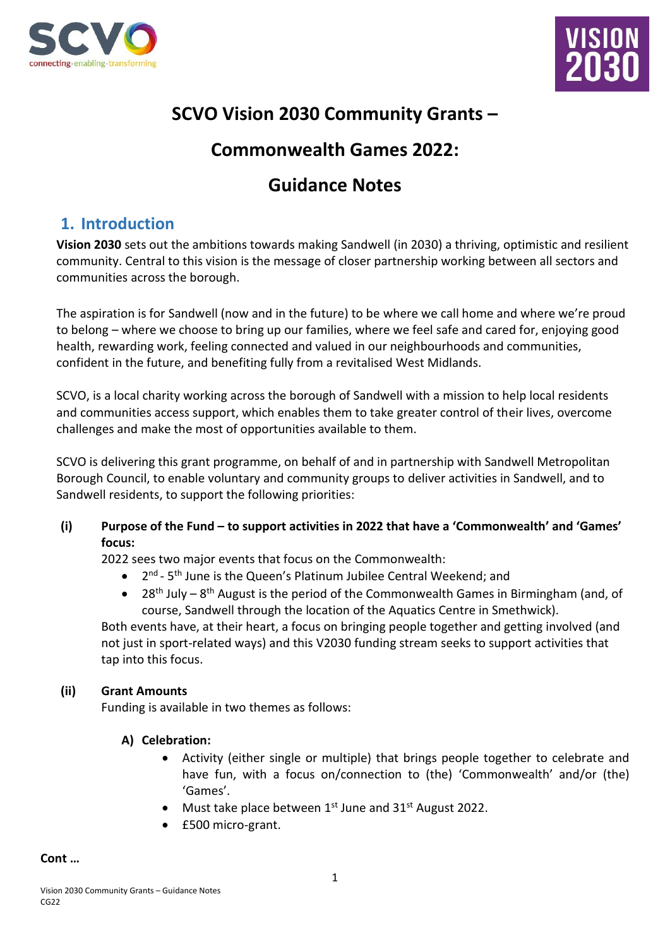



# **SCVO Vision 2030 Community Grants –**

# **Commonwealth Games 2022:**

# **Guidance Notes**

## **1. Introduction**

**Vision 2030** sets out the ambitions towards making Sandwell (in 2030) a thriving, optimistic and resilient community. Central to this vision is the message of closer partnership working between all sectors and communities across the borough.

The aspiration is for Sandwell (now and in the future) to be where we call home and where we're proud to belong – where we choose to bring up our families, where we feel safe and cared for, enjoying good health, rewarding work, feeling connected and valued in our neighbourhoods and communities, confident in the future, and benefiting fully from a revitalised West Midlands.

SCVO, is a local charity working across the borough of Sandwell with a mission to help local residents and communities access support, which enables them to take greater control of their lives, overcome challenges and make the most of opportunities available to them.

SCVO is delivering this grant programme, on behalf of and in partnership with Sandwell Metropolitan Borough Council, to enable voluntary and community groups to deliver activities in Sandwell, and to Sandwell residents, to support the following priorities:

**(i) Purpose of the Fund – to support activities in 2022 that have a 'Commonwealth' and 'Games' focus:**

2022 sees two major events that focus on the Commonwealth:

- $\bullet$ <sup>nd</sup> - 5<sup>th</sup> June is the Queen's Platinum Jubilee Central Weekend; and
- 28<sup>th</sup> July 8<sup>th</sup> August is the period of the Commonwealth Games in Birmingham (and, of course, Sandwell through the location of the Aquatics Centre in Smethwick).

Both events have, at their heart, a focus on bringing people together and getting involved (and not just in sport-related ways) and this V2030 funding stream seeks to support activities that tap into this focus.

### **(ii) Grant Amounts**

Funding is available in two themes as follows:

#### **A) Celebration:**

- Activity (either single or multiple) that brings people together to celebrate and have fun, with a focus on/connection to (the) 'Commonwealth' and/or (the) 'Games'.
- Must take place between  $1^{st}$  June and  $31^{st}$  August 2022.
- £500 micro-grant.

#### **Cont …**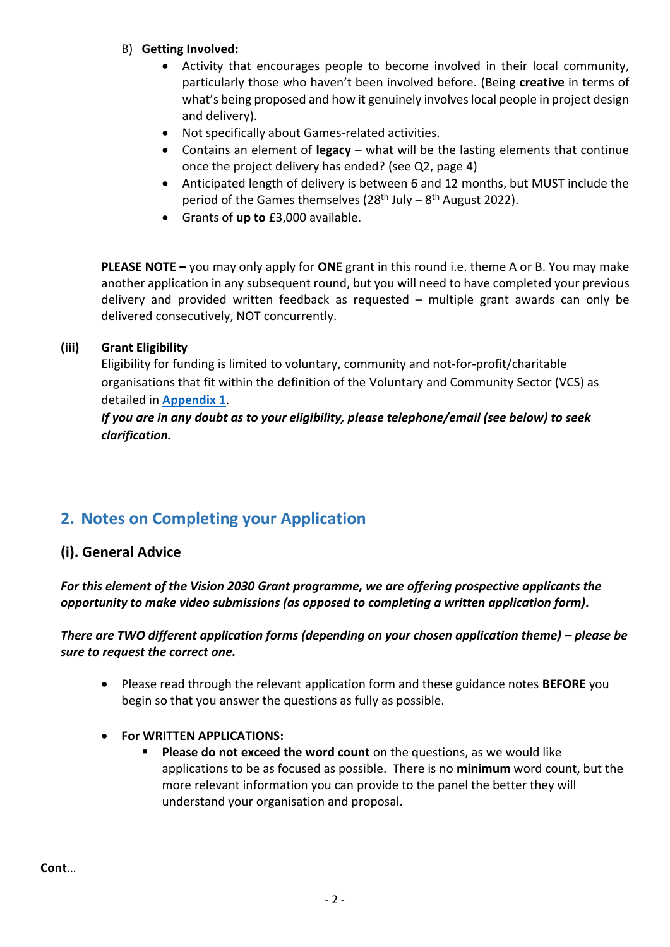- B) **Getting Involved:** 
	- Activity that encourages people to become involved in their local community, particularly those who haven't been involved before. (Being **creative** in terms of what's being proposed and how it genuinely involves local people in project design and delivery).
	- Not specifically about Games-related activities.
	- Contains an element of **legacy** what will be the lasting elements that continue once the project delivery has ended? (see Q2, page 4)
	- Anticipated length of delivery is between 6 and 12 months, but MUST include the period of the Games themselves (28<sup>th</sup> July – 8<sup>th</sup> August 2022).
	- Grants of **up to** £3,000 available.

**PLEASE NOTE –** you may only apply for **ONE** grant in this round i.e. theme A or B. You may make another application in any subsequent round, but you will need to have completed your previous delivery and provided written feedback as requested – multiple grant awards can only be delivered consecutively, NOT concurrently.

#### **(iii) Grant Eligibility**

Eligibility for funding is limited to voluntary, community and not-for-profit/charitable organisations that fit within the definition of the Voluntary and Community Sector (VCS) as detailed in **Appendix 1**.

*If you are in any doubt as to your eligibility, please telephone/email (see below) to seek clarification.*

# <span id="page-1-0"></span>**2. Notes on Completing your Application**

### **(i). General Advice**

### *For this element of the Vision 2030 Grant programme, we are offering prospective applicants the opportunity to make video submissions (as opposed to completing a written application form).*

#### *There are TWO different application forms (depending on your chosen application theme) – please be sure to request the correct one.*

- Please read through the relevant application form and these guidance notes **BEFORE** you begin so that you answer the questions as fully as possible.
- **For WRITTEN APPLICATIONS:**
	- **EXPLEASE do not exceed the word count** on the questions, as we would like applications to be as focused as possible. There is no **minimum** word count, but the more relevant information you can provide to the panel the better they will understand your organisation and proposal.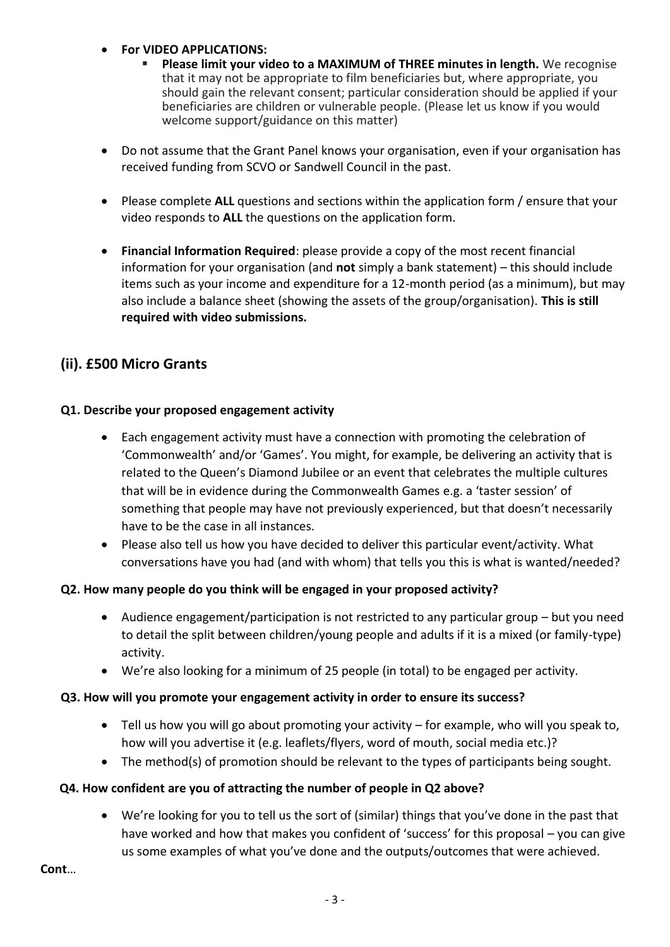#### • **For VIDEO APPLICATIONS:**

- **Please limit your video to a MAXIMUM of THREE minutes in length.** We recognise that it may not be appropriate to film beneficiaries but, where appropriate, you should gain the relevant consent; particular consideration should be applied if your beneficiaries are children or vulnerable people. (Please let us know if you would welcome support/guidance on this matter)
- Do not assume that the Grant Panel knows your organisation, even if your organisation has received funding from SCVO or Sandwell Council in the past.
- Please complete **ALL** questions and sections within the application form / ensure that your video responds to **ALL** the questions on the application form.
- **Financial Information Required**: please provide a copy of the most recent financial information for your organisation (and **not** simply a bank statement) – this should include items such as your income and expenditure for a 12-month period (as a minimum), but may also include a balance sheet (showing the assets of the group/organisation). **This is still required with video submissions.**

## **(ii). £500 Micro Grants**

#### **Q1. Describe your proposed engagement activity**

- Each engagement activity must have a connection with promoting the celebration of 'Commonwealth' and/or 'Games'. You might, for example, be delivering an activity that is related to the Queen's Diamond Jubilee or an event that celebrates the multiple cultures that will be in evidence during the Commonwealth Games e.g. a 'taster session' of something that people may have not previously experienced, but that doesn't necessarily have to be the case in all instances.
- Please also tell us how you have decided to deliver this particular event/activity. What conversations have you had (and with whom) that tells you this is what is wanted/needed?

#### **Q2. How many people do you think will be engaged in your proposed activity?**

- Audience engagement/participation is not restricted to any particular group but you need to detail the split between children/young people and adults if it is a mixed (or family-type) activity.
- We're also looking for a minimum of 25 people (in total) to be engaged per activity.

#### **Q3. How will you promote your engagement activity in order to ensure its success?**

- Tell us how you will go about promoting your activity  $-$  for example, who will you speak to, how will you advertise it (e.g. leaflets/flyers, word of mouth, social media etc.)?
- The method(s) of promotion should be relevant to the types of participants being sought.

#### **Q4. How confident are you of attracting the number of people in Q2 above?**

• We're looking for you to tell us the sort of (similar) things that you've done in the past that have worked and how that makes you confident of 'success' for this proposal – you can give us some examples of what you've done and the outputs/outcomes that were achieved.

**Cont**…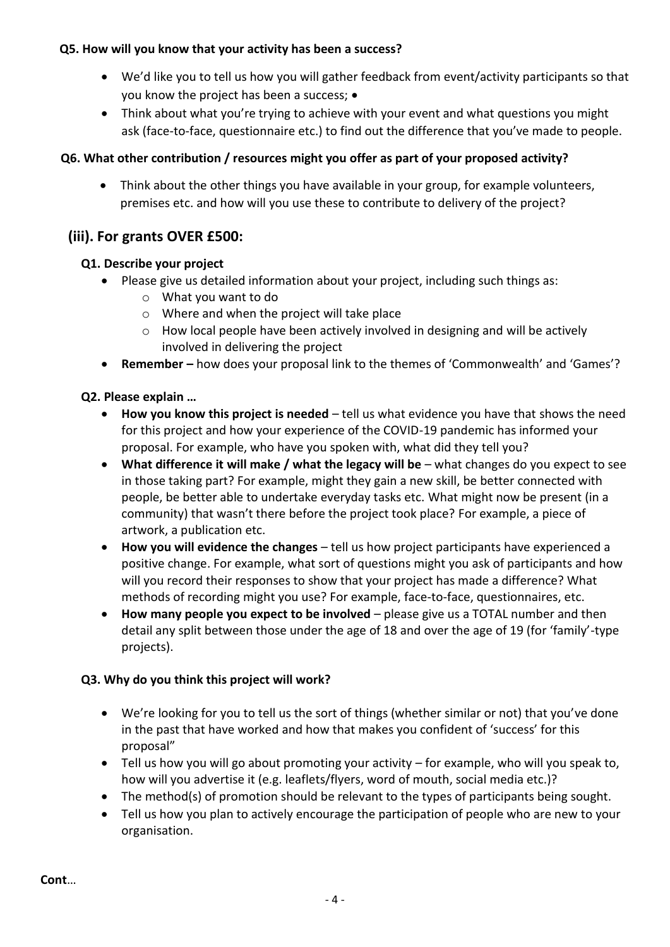#### **Q5. How will you know that your activity has been a success?**

- We'd like you to tell us how you will gather feedback from event/activity participants so that you know the project has been a success; •
- Think about what you're trying to achieve with your event and what questions you might ask (face-to-face, questionnaire etc.) to find out the difference that you've made to people.

### **Q6. What other contribution / resources might you offer as part of your proposed activity?**

• Think about the other things you have available in your group, for example volunteers, premises etc. and how will you use these to contribute to delivery of the project?

### **(iii). For grants OVER £500:**

#### **Q1. Describe your project**

- Please give us detailed information about your project, including such things as:
	- o What you want to do
	- o Where and when the project will take place
	- $\circ$  How local people have been actively involved in designing and will be actively involved in delivering the project
- **Remember –** how does your proposal link to the themes of 'Commonwealth' and 'Games'?

#### **Q2. Please explain …**

- **How you know this project is needed** tell us what evidence you have that shows the need for this project and how your experience of the COVID-19 pandemic has informed your proposal. For example, who have you spoken with, what did they tell you?
- **What difference it will make / what the legacy will be** what changes do you expect to see in those taking part? For example, might they gain a new skill, be better connected with people, be better able to undertake everyday tasks etc. What might now be present (in a community) that wasn't there before the project took place? For example, a piece of artwork, a publication etc.
- **How you will evidence the changes** tell us how project participants have experienced a positive change. For example, what sort of questions might you ask of participants and how will you record their responses to show that your project has made a difference? What methods of recording might you use? For example, face-to-face, questionnaires, etc.
- **How many people you expect to be involved** please give us a TOTAL number and then detail any split between those under the age of 18 and over the age of 19 (for 'family'-type projects).

#### **Q3. Why do you think this project will work?**

- We're looking for you to tell us the sort of things (whether similar or not) that you've done in the past that have worked and how that makes you confident of 'success' for this proposal"
- Tell us how you will go about promoting your activity for example, who will you speak to, how will you advertise it (e.g. leaflets/flyers, word of mouth, social media etc.)?
- The method(s) of promotion should be relevant to the types of participants being sought.
- Tell us how you plan to actively encourage the participation of people who are new to your organisation.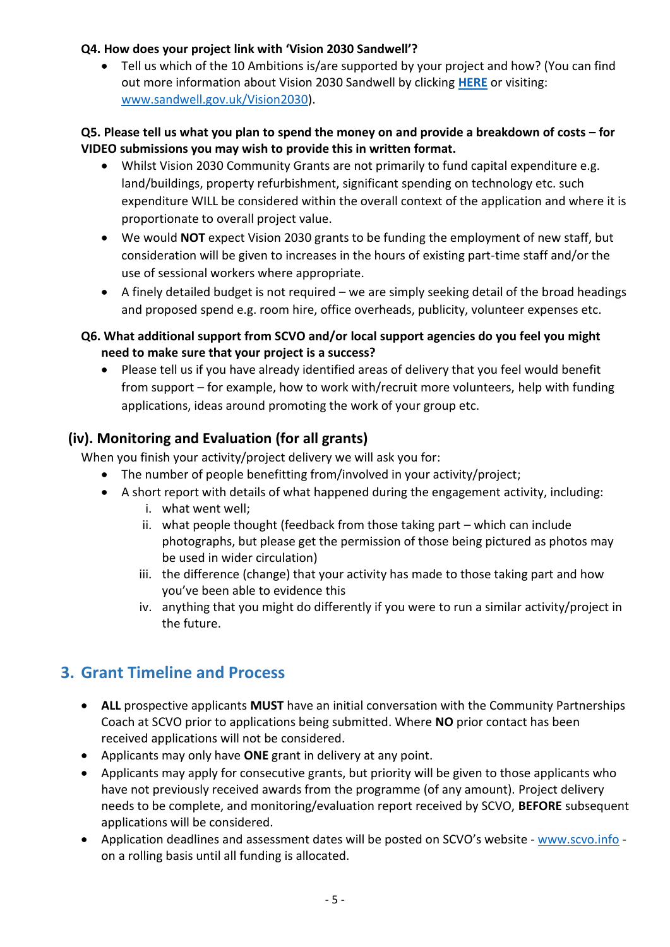#### **Q4. How does your project link with 'Vision 2030 Sandwell'?**

• Tell us which of the 10 Ambitions is/are supported by your project and how? (You can find out more information about Vision 2030 Sandwell by clicking **[HERE](https://www.sandwell.gov.uk/Vision2030)** or visiting: [www.sandwell.gov.uk/Vision2030\)](http://www.sandwell.gov.uk/Vision2030).

#### **Q5. Please tell us what you plan to spend the money on and provide a breakdown of costs – for VIDEO submissions you may wish to provide this in written format.**

- Whilst Vision 2030 Community Grants are not primarily to fund capital expenditure e.g. land/buildings, property refurbishment, significant spending on technology etc. such expenditure WILL be considered within the overall context of the application and where it is proportionate to overall project value.
- We would **NOT** expect Vision 2030 grants to be funding the employment of new staff, but consideration will be given to increases in the hours of existing part-time staff and/or the use of sessional workers where appropriate.
- A finely detailed budget is not required we are simply seeking detail of the broad headings and proposed spend e.g. room hire, office overheads, publicity, volunteer expenses etc.
- **Q6. What additional support from SCVO and/or local support agencies do you feel you might need to make sure that your project is a success?**
	- Please tell us if you have already identified areas of delivery that you feel would benefit from support – for example, how to work with/recruit more volunteers, help with funding applications, ideas around promoting the work of your group etc.

## **(iv). Monitoring and Evaluation (for all grants)**

When you finish your activity/project delivery we will ask you for:

- The number of people benefitting from/involved in your activity/project;
- A short report with details of what happened during the engagement activity, including:
	- i. what went well;
	- ii. what people thought (feedback from those taking part which can include photographs, but please get the permission of those being pictured as photos may be used in wider circulation)
	- iii. the difference (change) that your activity has made to those taking part and how you've been able to evidence this
	- iv. anything that you might do differently if you were to run a similar activity/project in the future.

# **3. Grant Timeline and Process**

- **ALL** prospective applicants **MUST** have an initial conversation with the Community Partnerships Coach at SCVO prior to applications being submitted. Where **NO** prior contact has been received applications will not be considered.
- Applicants may only have **ONE** grant in delivery at any point.
- Applicants may apply for consecutive grants, but priority will be given to those applicants who have not previously received awards from the programme (of any amount). Project delivery needs to be complete, and monitoring/evaluation report received by SCVO, **BEFORE** subsequent applications will be considered.
- Application deadlines and assessment dates will be posted on SCVO's website [www.scvo.info](http://www.scvo.info/) on a rolling basis until all funding is allocated.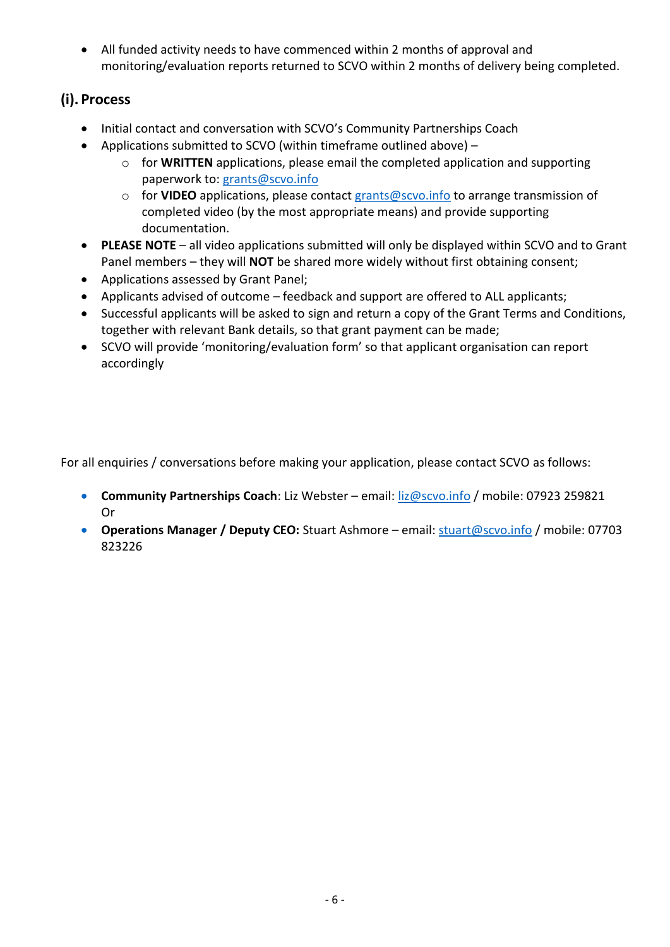• All funded activity needs to have commenced within 2 months of approval and monitoring/evaluation reports returned to SCVO within 2 months of delivery being completed.

## **(i). Process**

- Initial contact and conversation with SCVO's Community Partnerships Coach
- Applications submitted to SCVO (within timeframe outlined above)
	- o for **WRITTEN** applications, please email the completed application and supporting paperwork to: [grants@scvo.info](mailto:grants@scvo.info)
	- o for **VIDEO** applications, please contact [grants@scvo.info](mailto:grants@scvo.info) to arrange transmission of completed video (by the most appropriate means) and provide supporting documentation.
- **PLEASE NOTE** all video applications submitted will only be displayed within SCVO and to Grant Panel members – they will **NOT** be shared more widely without first obtaining consent;
- Applications assessed by Grant Panel;
- Applicants advised of outcome feedback and support are offered to ALL applicants;
- Successful applicants will be asked to sign and return a copy of the Grant Terms and Conditions, together with relevant Bank details, so that grant payment can be made;
- SCVO will provide 'monitoring/evaluation form' so that applicant organisation can report accordingly

For all enquiries / conversations before making your application, please contact SCVO as follows:

- **Community Partnerships Coach**: Liz Webster email: **liz@scvo.info** / mobile: 07923 259821 Or
- **Operations Manager / Deputy CEO:** Stuart Ashmore email[: stuart@scvo.info](mailto:stuart@scvo.info) / mobile: 07703 823226